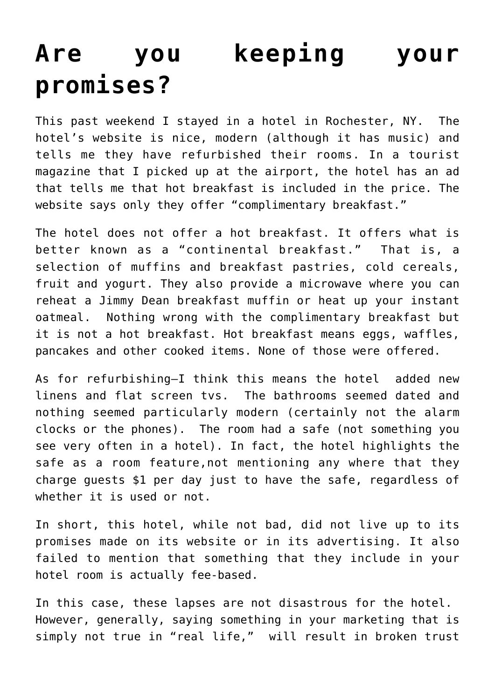## **[Are you keeping your](https://deborahbrody.com/2010/07/are-you-keeping-your-promises/) [promises?](https://deborahbrody.com/2010/07/are-you-keeping-your-promises/)**

This past weekend I stayed in a hotel in Rochester, NY. The hotel's website is nice, modern (although it has music) and tells me they have refurbished their rooms. In a tourist magazine that I picked up at the airport, the hotel has an ad that tells me that hot breakfast is included in the price. The website says only they offer "complimentary breakfast."

The hotel does not offer a hot breakfast. It offers what is better known as a "continental breakfast." That is, a selection of muffins and breakfast pastries, cold cereals, fruit and yogurt. They also provide a microwave where you can reheat a Jimmy Dean breakfast muffin or heat up your instant oatmeal. Nothing wrong with the complimentary breakfast but it is not a hot breakfast. Hot breakfast means eggs, waffles, pancakes and other cooked items. None of those were offered.

As for refurbishing–I think this means the hotel added new linens and flat screen tvs. The bathrooms seemed dated and nothing seemed particularly modern (certainly not the alarm clocks or the phones). The room had a safe (not something you see very often in a hotel). In fact, the hotel highlights the safe as a room feature,not mentioning any where that they charge guests \$1 per day just to have the safe, regardless of whether it is used or not.

In short, this hotel, while not bad, did not live up to its promises made on its website or in its advertising. It also failed to mention that something that they include in your hotel room is actually fee-based.

In this case, these lapses are not disastrous for the hotel. However, generally, saying something in your marketing that is simply not true in "real life," will result in broken trust